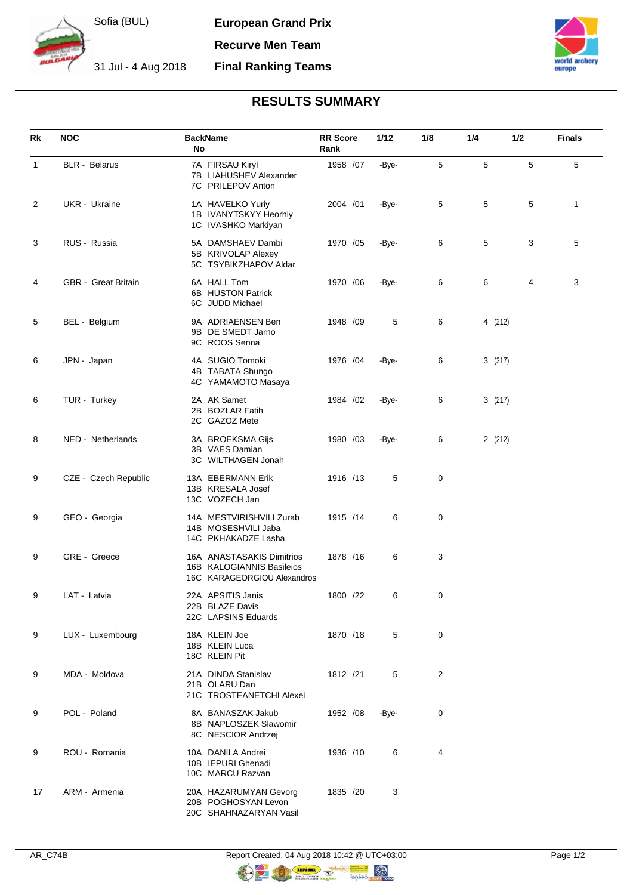

**European Grand Prix**

**Recurve Men Team**

## 31 Jul - 4 Aug 2018 **Final Ranking Teams**



## **RESULTS SUMMARY**

| Rk | <b>NOC</b>           | <b>BackName</b><br>No                                                                 | <b>RR Score</b><br>Rank | 1/12  | 1/8         | 1/4     | 1/2 | <b>Finals</b> |
|----|----------------------|---------------------------------------------------------------------------------------|-------------------------|-------|-------------|---------|-----|---------------|
| 1  | <b>BLR</b> - Belarus | 7A FIRSAU Kiryl<br>7B LIAHUSHEV Alexander<br>7C PRILEPOV Anton                        | 1958 /07                | -Bye- | 5           | 5       | 5   | 5             |
| 2  | UKR - Ukraine        | 1A HAVELKO Yuriy<br>1B IVANYTSKYY Heorhiy<br>1C IVASHKO Markiyan                      | 2004 /01                | -Bye- | 5           | 5       | 5   | 1             |
| 3  | RUS - Russia         | 5A DAMSHAEV Dambi<br>5B KRIVOLAP Alexey<br>5C TSYBIKZHAPOV Aldar                      | 1970 / 05               | -Bye- | 6           | 5       | 3   | 5             |
| 4  | GBR - Great Britain  | 6A HALL Tom<br>6B HUSTON Patrick<br>6C JUDD Michael                                   | 1970 / 06               | -Bye- | 6           | 6       | 4   | 3             |
| 5  | BEL - Belgium        | 9A ADRIAENSEN Ben<br>9B DE SMEDT Jarno<br>9C ROOS Senna                               | 1948 /09                | 5     | 6           | 4 (212) |     |               |
| 6  | JPN - Japan          | 4A SUGIO Tomoki<br>4B TABATA Shungo<br>4C YAMAMOTO Masaya                             | 1976 /04                | -Bye- | 6           | 3(217)  |     |               |
| 6  | TUR - Turkey         | 2A AK Samet<br>2B BOZLAR Fatih<br>2C GAZOZ Mete                                       | 1984 /02                | -Bye- | 6           | 3(217)  |     |               |
| 8  | NED - Netherlands    | 3A BROEKSMA Gijs<br>3B VAES Damian<br>3C WILTHAGEN Jonah                              | 1980 /03                | -Bye- | 6           | 2(212)  |     |               |
| 9  | CZE - Czech Republic | 13A EBERMANN Erik<br>13B KRESALA Josef<br>13C VOZECH Jan                              | 1916 /13                | 5     | $\mathbf 0$ |         |     |               |
| 9  | GEO - Georgia        | 14A MESTVIRISHVILI Zurab<br>14B MOSESHVILI Jaba<br>14C PKHAKADZE Lasha                | 1915 /14                | 6     | 0           |         |     |               |
| 9  | GRE - Greece         | 16A ANASTASAKIS Dimitrios<br>16B KALOGIANNIS Basileios<br>16C KARAGEORGIOU Alexandros | 1878 / 16               | 6     | 3           |         |     |               |
| 9  | LAT - Latvia         | 22A APSITIS Janis<br>22B BLAZE Davis<br>22C LAPSINS Eduards                           | 1800 /22                | 6     | 0           |         |     |               |
| 9  | LUX - Luxembourg     | 18A KLEIN Joe<br>18B KLEIN Luca<br>18C KLEIN Pit                                      | 1870 /18                | 5     | $\mathbf 0$ |         |     |               |
| 9  | MDA - Moldova        | 21A DINDA Stanislav<br>21B OLARU Dan<br>21C TROSTEANETCHI Alexei                      | 1812 /21                | 5     | 2           |         |     |               |
| 9  | POL - Poland         | 8A BANASZAK Jakub<br>8B NAPLOSZEK Slawomir<br>8C NESCIOR Andrzej                      | 1952 / 08               | -Bye- | 0           |         |     |               |
| 9  | ROU - Romania        | 10A DANILA Andrei<br>10B IEPURI Ghenadi<br>10C MARCU Razvan                           | 1936 /10                | 6     | 4           |         |     |               |
| 17 | ARM - Armenia        | 20A HAZARUMYAN Gevorg<br>20B POGHOSYAN Levon<br>20C SHAHNAZARYAN Vasil                | 1835 /20                | 3     |             |         |     |               |

**OR** 

O